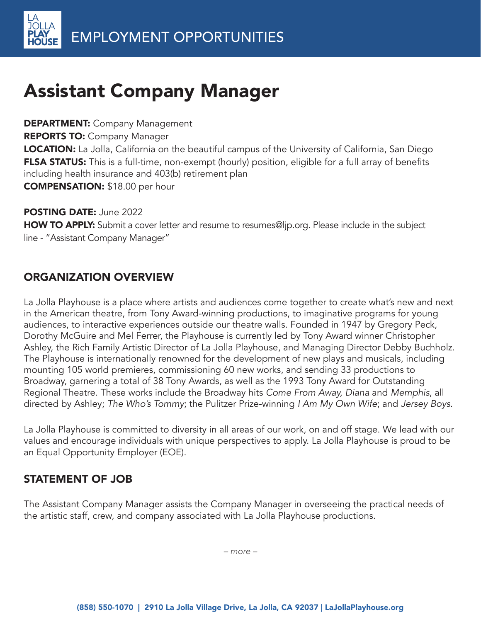# Assistant Company Manager

**DEPARTMENT: Company Management REPORTS TO: Company Manager LOCATION:** La Jolla, California on the beautiful campus of the University of California, San Diego FLSA STATUS: This is a full-time, non-exempt (hourly) position, eligible for a full array of benefits including health insurance and 403(b) retirement plan COMPENSATION: \$18.00 per hour

POSTING DATE: June 2022

HOW TO APPLY: Submit a cover letter and resume to resumes@ljp.org. Please include in the subject line - "Assistant Company Manager"

# ORGANIZATION OVERVIEW

La Jolla Playhouse is a place where artists and audiences come together to create what's new and next in the American theatre, from Tony Award-winning productions, to imaginative programs for young audiences, to interactive experiences outside our theatre walls. Founded in 1947 by Gregory Peck, Dorothy McGuire and Mel Ferrer, the Playhouse is currently led by Tony Award winner Christopher Ashley, the Rich Family Artistic Director of La Jolla Playhouse, and Managing Director Debby Buchholz. The Playhouse is internationally renowned for the development of new plays and musicals, including mounting 105 world premieres, commissioning 60 new works, and sending 33 productions to Broadway, garnering a total of 38 Tony Awards, as well as the 1993 Tony Award for Outstanding Regional Theatre. These works include the Broadway hits Come From Away, Diana and Memphis, all directed by Ashley; The Who's Tommy; the Pulitzer Prize-winning I Am My Own Wife; and Jersey Boys.

La Jolla Playhouse is committed to diversity in all areas of our work, on and off stage. We lead with our values and encourage individuals with unique perspectives to apply. La Jolla Playhouse is proud to be an Equal Opportunity Employer (EOE).

# STATEMENT OF JOB

The Assistant Company Manager assists the Company Manager in overseeing the practical needs of the artistic staff, crew, and company associated with La Jolla Playhouse productions.

*– more –*